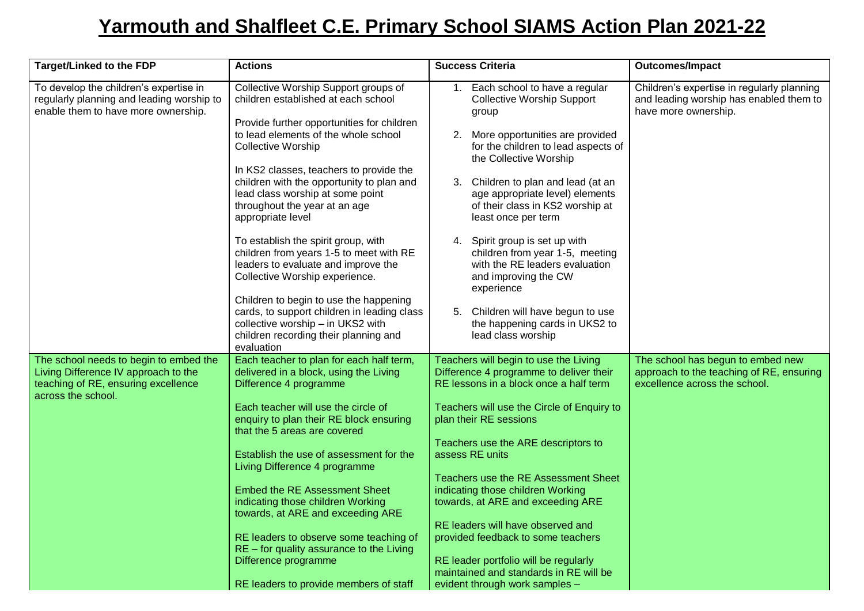## **Yarmouth and Shalfleet C.E. Primary School SIAMS Action Plan 2021-22**

| <b>Target/Linked to the FDP</b>                                                                                                             | <b>Actions</b>                                                                                                                                                                    | <b>Success Criteria</b>                                                                                                                      | <b>Outcomes/Impact</b>                                                                                         |
|---------------------------------------------------------------------------------------------------------------------------------------------|-----------------------------------------------------------------------------------------------------------------------------------------------------------------------------------|----------------------------------------------------------------------------------------------------------------------------------------------|----------------------------------------------------------------------------------------------------------------|
| To develop the children's expertise in<br>regularly planning and leading worship to<br>enable them to have more ownership.                  | Collective Worship Support groups of<br>children established at each school                                                                                                       | Each school to have a regular<br>1.<br><b>Collective Worship Support</b><br>group                                                            | Children's expertise in regularly planning<br>and leading worship has enabled them to<br>have more ownership.  |
|                                                                                                                                             | Provide further opportunities for children<br>to lead elements of the whole school<br><b>Collective Worship</b>                                                                   | More opportunities are provided<br>2.<br>for the children to lead aspects of<br>the Collective Worship                                       |                                                                                                                |
|                                                                                                                                             | In KS2 classes, teachers to provide the<br>children with the opportunity to plan and<br>lead class worship at some point<br>throughout the year at an age<br>appropriate level    | Children to plan and lead (at an<br>3.<br>age appropriate level) elements<br>of their class in KS2 worship at<br>least once per term         |                                                                                                                |
|                                                                                                                                             | To establish the spirit group, with<br>children from years 1-5 to meet with RE<br>leaders to evaluate and improve the<br>Collective Worship experience.                           | Spirit group is set up with<br>4.<br>children from year 1-5, meeting<br>with the RE leaders evaluation<br>and improving the CW<br>experience |                                                                                                                |
|                                                                                                                                             | Children to begin to use the happening<br>cards, to support children in leading class<br>collective worship - in UKS2 with<br>children recording their planning and<br>evaluation | Children will have begun to use<br>5.<br>the happening cards in UKS2 to<br>lead class worship                                                |                                                                                                                |
| The school needs to begin to embed the<br>Living Difference IV approach to the<br>teaching of RE, ensuring excellence<br>across the school. | Each teacher to plan for each half term,<br>delivered in a block, using the Living<br>Difference 4 programme                                                                      | Teachers will begin to use the Living<br>Difference 4 programme to deliver their<br>RE lessons in a block once a half term                   | The school has begun to embed new<br>approach to the teaching of RE, ensuring<br>excellence across the school. |
|                                                                                                                                             | Each teacher will use the circle of<br>enquiry to plan their RE block ensuring<br>that the 5 areas are covered                                                                    | Teachers will use the Circle of Enquiry to<br>plan their RE sessions                                                                         |                                                                                                                |
|                                                                                                                                             | Establish the use of assessment for the<br>Living Difference 4 programme                                                                                                          | Teachers use the ARE descriptors to<br>assess RE units                                                                                       |                                                                                                                |
|                                                                                                                                             | <b>Embed the RE Assessment Sheet</b><br>indicating those children Working<br>towards, at ARE and exceeding ARE                                                                    | Teachers use the RE Assessment Sheet<br>indicating those children Working<br>towards, at ARE and exceeding ARE                               |                                                                                                                |
|                                                                                                                                             | RE leaders to observe some teaching of<br>$RE$ – for quality assurance to the Living<br>Difference programme                                                                      | RE leaders will have observed and<br>provided feedback to some teachers<br>RE leader portfolio will be regularly                             |                                                                                                                |
|                                                                                                                                             | RE leaders to provide members of staff                                                                                                                                            | maintained and standards in RE will be<br>evident through work samples -                                                                     |                                                                                                                |